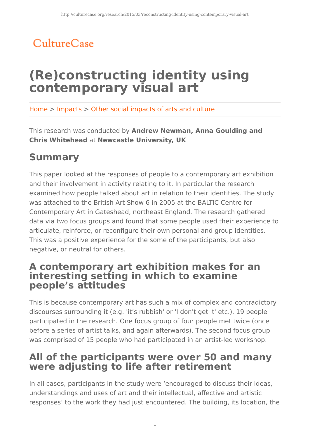## CultureCase

# **(Re)constructing identity using contemporary visual art**

Home > Impacts > Other social impacts of arts and culture

This research was conducted by **Andrew Newman, Anna Goulding and Chris Whitehead** at **Newcastle University, UK**

## **Summary**

This paper looked at the responses of people to a contemporary art exhibition and their involvement in activity relating to it. In particular the research examined how people talked about art in relation to their identities. The study was attached to the British Art Show 6 in 2005 at the BALTIC Centre for Contemporary Art in Gateshead, northeast England. The research gathered data via two focus groups and found that some people used their experience to articulate, reinforce, or reconfigure their own personal and group identities. This was a positive experience for the some of the participants, but also negative, or neutral for others.

### **A contemporary art exhibition makes for an interesting setting in which to examine people's attitudes**

This is because contemporary art has such a mix of complex and contradictory discourses surrounding it (e.g. 'it's rubbish' or 'I don't get it' etc.). 19 people participated in the research. One focus group of four people met twice (once before a series of artist talks, and again afterwards). The second focus group was comprised of 15 people who had participated in an artist-led workshop.

### **All of the participants were over 50 and many were adjusting to life after retirement**

In all cases, participants in the study were 'encouraged to discuss their ideas, understandings and uses of art and their intellectual, affective and artistic responses' to the work they had just encountered. The building, its location, the